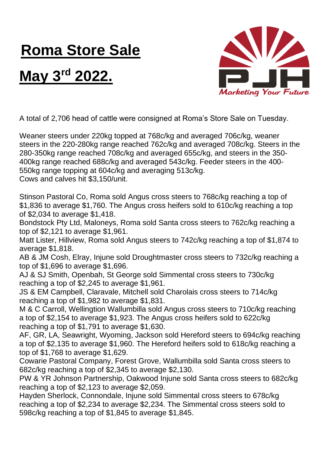## **Roma Store Sale**

## **May 3rd 2022.**



A total of 2,706 head of cattle were consigned at Roma's Store Sale on Tuesday.

Weaner steers under 220kg topped at 768c/kg and averaged 706c/kg, weaner steers in the 220-280kg range reached 762c/kg and averaged 708c/kg. Steers in the 280-350kg range reached 708c/kg and averaged 655c/kg, and steers in the 350- 400kg range reached 688c/kg and averaged 543c/kg. Feeder steers in the 400- 550kg range topping at 604c/kg and averaging 513c/kg. Cows and calves hit \$3,150/unit.

Stinson Pastoral Co, Roma sold Angus cross steers to 768c/kg reaching a top of \$1,836 to average \$1,760. The Angus cross heifers sold to 610c/kg reaching a top of \$2,034 to average \$1,418.

Bondstock Pty Ltd, Maloneys, Roma sold Santa cross steers to 762c/kg reaching a top of \$2,121 to average \$1,961.

Matt Lister, Hillview, Roma sold Angus steers to 742c/kg reaching a top of \$1,874 to average \$1,818.

AB & JM Cosh, Elray, Injune sold Droughtmaster cross steers to 732c/kg reaching a top of \$1,696 to average \$1,696.

AJ & SJ Smith, Openbah, St George sold Simmental cross steers to 730c/kg reaching a top of \$2,245 to average \$1,961.

JS & EM Campbell, Claravale, Mitchell sold Charolais cross steers to 714c/kg reaching a top of \$1,982 to average \$1,831.

M & C Carroll, Wellingtion Wallumbilla sold Angus cross steers to 710c/kg reaching a top of \$2,154 to average \$1,923. The Angus cross heifers sold to 622c/kg reaching a top of \$1,791 to average \$1,630.

AF, GR, LA, Seawright, Wyoming, Jackson sold Hereford steers to 694c/kg reaching a top of \$2,135 to average \$1,960. The Hereford heifers sold to 618c/kg reaching a top of \$1,768 to average \$1,629.

Cowarie Pastoral Company, Forest Grove, Wallumbilla sold Santa cross steers to 682c/kg reaching a top of \$2,345 to average \$2,130.

PW & YR Johnson Partnership, Oakwood Injune sold Santa cross steers to 682c/kg reaching a top of \$2,123 to average \$2,059.

Hayden Sherlock, Connondale, Injune sold Simmental cross steers to 678c/kg reaching a top of \$2,234 to average \$2,234. The Simmental cross steers sold to 598c/kg reaching a top of \$1,845 to average \$1,845.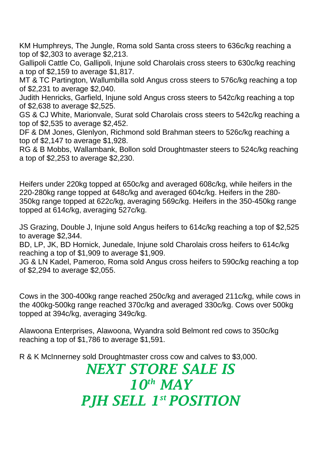KM Humphreys, The Jungle, Roma sold Santa cross steers to 636c/kg reaching a top of \$2,303 to average \$2,213.

Gallipoli Cattle Co, Gallipoli, Injune sold Charolais cross steers to 630c/kg reaching a top of \$2,159 to average \$1,817.

MT & TC Partington, Wallumbilla sold Angus cross steers to 576c/kg reaching a top of \$2,231 to average \$2,040.

Judith Henricks, Garfield, Injune sold Angus cross steers to 542c/kg reaching a top of \$2,638 to average \$2,525.

GS & CJ White, Marionvale, Surat sold Charolais cross steers to 542c/kg reaching a top of \$2,535 to average \$2,452.

DF & DM Jones, Glenlyon, Richmond sold Brahman steers to 526c/kg reaching a top of \$2,147 to average \$1,928.

RG & B Mobbs, Wallambank, Bollon sold Droughtmaster steers to 524c/kg reaching a top of \$2,253 to average \$2,230.

Heifers under 220kg topped at 650c/kg and averaged 608c/kg, while heifers in the 220-280kg range topped at 648c/kg and averaged 604c/kg. Heifers in the 280- 350kg range topped at 622c/kg, averaging 569c/kg. Heifers in the 350-450kg range topped at 614c/kg, averaging 527c/kg.

JS Grazing, Double J, Injune sold Angus heifers to 614c/kg reaching a top of \$2,525 to average \$2,344.

BD, LP, JK, BD Hornick, Junedale, Injune sold Charolais cross heifers to 614c/kg reaching a top of \$1,909 to average \$1,909.

JG & LN Kadel, Pameroo, Roma sold Angus cross heifers to 590c/kg reaching a top of \$2,294 to average \$2,055.

Cows in the 300-400kg range reached 250c/kg and averaged 211c/kg, while cows in the 400kg-500kg range reached 370c/kg and averaged 330c/kg. Cows over 500kg topped at 394c/kg, averaging 349c/kg.

Alawoona Enterprises, Alawoona, Wyandra sold Belmont red cows to 350c/kg reaching a top of \$1,786 to average \$1,591.

R & K McInnerney sold Droughtmaster cross cow and calves to \$3,000.

## *NEXT STORE SALE IS 10th MAY PJH SELL 1 st POSITION*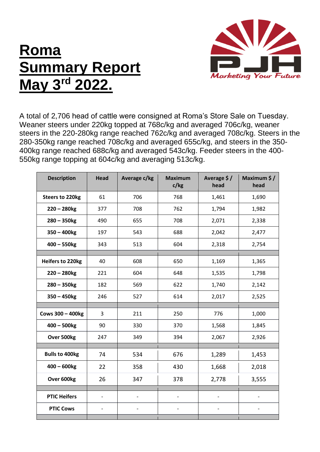## **Roma Summary Report May 3rd 2022.**



A total of 2,706 head of cattle were consigned at Roma's Store Sale on Tuesday. Weaner steers under 220kg topped at 768c/kg and averaged 706c/kg, weaner steers in the 220-280kg range reached 762c/kg and averaged 708c/kg. Steers in the 280-350kg range reached 708c/kg and averaged 655c/kg, and steers in the 350- 400kg range reached 688c/kg and averaged 543c/kg. Feeder steers in the 400- 550kg range topping at 604c/kg and averaging 513c/kg.

| <b>Description</b>      | <b>Head</b>                  | Average c/kg                 | <b>Maximum</b><br>c/kg   | Average \$/<br>head          | Maximum \$/<br>head      |
|-------------------------|------------------------------|------------------------------|--------------------------|------------------------------|--------------------------|
| <b>Steers to 220kg</b>  | 61                           | 706                          | 768                      | 1,461                        | 1,690                    |
| $220 - 280$ kg          | 377                          | 708                          | 762                      | 1,794                        | 1,982                    |
| $280 - 350$ kg          | 490                          | 655                          | 708                      | 2,071                        | 2,338                    |
| $350 - 400$ kg          | 197                          | 543                          | 688                      | 2,042                        | 2,477                    |
| $400 - 550$ kg          | 343                          | 513                          | 604                      | 2,318                        | 2,754                    |
|                         |                              |                              |                          |                              |                          |
| <b>Heifers to 220kg</b> | 40                           | 608                          | 650                      | 1,169                        | 1,365                    |
| $220 - 280$ kg          | 221                          | 604                          | 648                      | 1,535                        | 1,798                    |
| $280 - 350$ kg          | 182                          | 569                          | 622                      | 1,740                        | 2,142                    |
| $350 - 450$ kg          | 246                          | 527                          | 614                      | 2,017                        | 2,525                    |
|                         |                              |                              |                          |                              |                          |
| <b>Cows 300 - 400kg</b> | 3                            | 211                          | 250                      | 776                          | 1,000                    |
| $400 - 500$ kg          | 90                           | 330                          | 370                      | 1,568                        | 1,845                    |
| Over 500kg              | 247                          | 349                          | 394                      | 2,067                        | 2,926                    |
|                         |                              |                              |                          |                              |                          |
| <b>Bulls to 400kg</b>   | 74                           | 534                          | 676                      | 1,289                        | 1,453                    |
| $400 - 600$ kg          | 22                           | 358                          | 430                      | 1,668                        | 2,018                    |
| Over 600kg              | 26                           | 347                          | 378                      | 2,778                        | 3,555                    |
|                         |                              |                              |                          |                              |                          |
| <b>PTIC Heifers</b>     | $\overline{\phantom{a}}$     | $\qquad \qquad \blacksquare$ | $\overline{\phantom{0}}$ | $\qquad \qquad \blacksquare$ | $\overline{\phantom{0}}$ |
| <b>PTIC Cows</b>        | $\qquad \qquad \blacksquare$ |                              |                          |                              |                          |
|                         |                              |                              |                          |                              |                          |